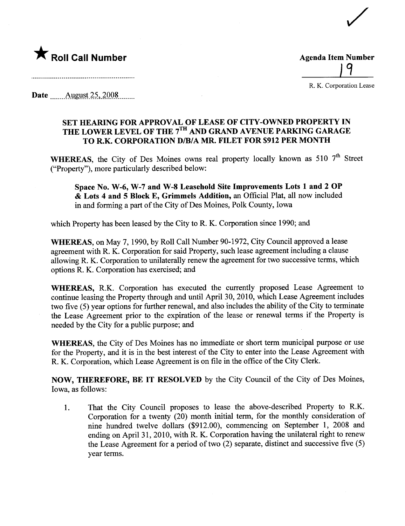

 $\boldsymbol{q}$ 

/

R. K. Corporation Lease

Date \_\_\_\_\_\_ August 25, 2008 \_\_\_\_\_\_

## SET HEARING FOR APPROVAL OF LEASE OF CITY-OWNED PROPERTY IN THE LOWER LEVEL OF THE 7<sup>TH</sup> AND GRAND AVENUE PARKING GARAGE TO R.K. CORPORATION D/B/A MR. FILET FOR \$912 PER MONTH

WHEREAS, the City of Des Moines owns real property locally known as 510  $7<sup>th</sup>$  Street ("Property"), more paricularly described below:

Space No. W-6, W-7 and W-8 Leasehold Site Improvements Lots 1 and 2 OP & Lots 4 and 5 Block E, Grimmels Addition, an Offcial Plat, all now included in and forming a part of the City of Des Moines, Polk County, Iowa

which Property has been leased by the City to R. K. Corporation since 1990; and

WHEREAS, on May 7, 1990, by Roll Call Number 90-1972, City Council approved a lease agreement with R. K. Corporation for said Property, such lease agreement including a clause allowing R. K. Corporation to unilaterally renew the agreement for two successive terms, which options R. K. Corporation has exercised; and

WHEREAS, R.K. Corporation has executed the curently proposed Lease Agreement to continue leasing the Property through and until April 30, 2010, which Lease Agreement includes two five (5) year options for further renewal, and also includes the ability of the City to terminate the Lease Agreement prior to the expiration of the lease or renewal terms if the Property is needed by the City for a public purose; and

WHEREAS, the City of Des Moines has no immediate or short term municipal purpose or use for the Property, and it is in the best interest of the City to enter into the Lease Agreement with R. K. Corporation, which Lease Agreement is on file in the office of the City Clerk.

NOW, THEREFORE, BE IT RESOLVED by the City Council of the City of Des Moines, Iowa, as follows:

1. That the City Council proposes to lease the above-described Property to R.K. Corporation for a twenty (20) month initial term, for the monthly consideration of nine hundred twelve dollars (\$912.00), commencing on September 1, 2008 and ending on April 31, 2010, with R. K. Corporation having the unilateral right to renew the Lease Agreement for a period of two (2) separate, distinct and successive five (5) year terms.